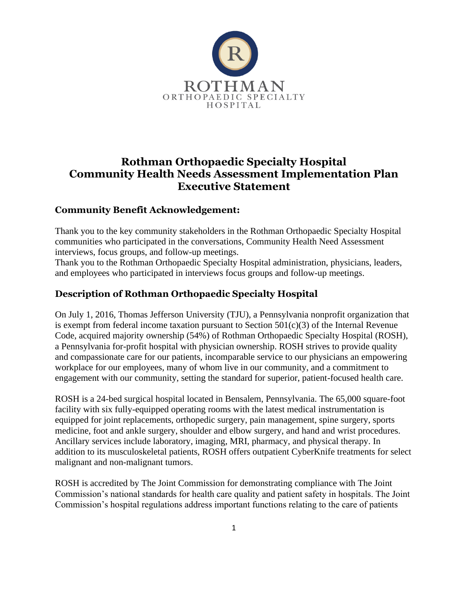

## **Rothman Orthopaedic Specialty Hospital Community Health Needs Assessment Implementation Plan Executive Statement**

#### **Community Benefit Acknowledgement:**

Thank you to the key community stakeholders in the Rothman Orthopaedic Specialty Hospital communities who participated in the conversations, Community Health Need Assessment interviews, focus groups, and follow-up meetings.

Thank you to the Rothman Orthopaedic Specialty Hospital administration, physicians, leaders, and employees who participated in interviews focus groups and follow-up meetings.

#### **Description of Rothman Orthopaedic Specialty Hospital**

On July 1, 2016, Thomas Jefferson University (TJU), a Pennsylvania nonprofit organization that is exempt from federal income taxation pursuant to Section  $501(c)(3)$  of the Internal Revenue Code, acquired majority ownership (54%) of Rothman Orthopaedic Specialty Hospital (ROSH), a Pennsylvania for-profit hospital with physician ownership. ROSH strives to provide quality and compassionate care for our patients, incomparable service to our physicians an empowering workplace for our employees, many of whom live in our community, and a commitment to engagement with our community, setting the standard for superior, patient-focused health care.

ROSH is a 24-bed surgical hospital located in Bensalem, Pennsylvania. The 65,000 square-foot facility with six fully-equipped operating rooms with the latest medical instrumentation is equipped for joint replacements, orthopedic surgery, pain management, spine surgery, sports medicine, foot and ankle surgery, shoulder and elbow surgery, and hand and wrist procedures. Ancillary services include laboratory, imaging, MRI, pharmacy, and physical therapy. In addition to its musculoskeletal patients, ROSH offers outpatient CyberKnife treatments for select malignant and non-malignant tumors.

ROSH is accredited by The Joint Commission for demonstrating compliance with The Joint Commission's national standards for health care quality and patient safety in hospitals. The Joint Commission's hospital regulations address important functions relating to the care of patients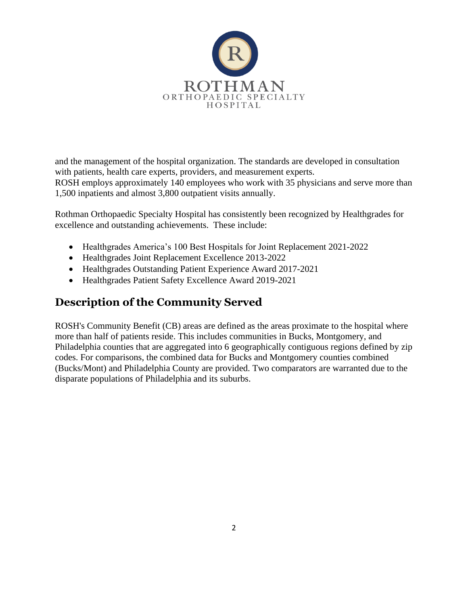

and the management of the hospital organization. The standards are developed in consultation with patients, health care experts, providers, and measurement experts. ROSH employs approximately 140 employees who work with 35 physicians and serve more than 1,500 inpatients and almost 3,800 outpatient visits annually.

Rothman Orthopaedic Specialty Hospital has consistently been recognized by Healthgrades for excellence and outstanding achievements. These include:

- Healthgrades America's 100 Best Hospitals for Joint Replacement 2021-2022
- Healthgrades Joint Replacement Excellence 2013-2022
- Healthgrades Outstanding Patient Experience Award 2017-2021
- Healthgrades Patient Safety Excellence Award 2019-2021

# **Description of the Community Served**

ROSH's Community Benefit (CB) areas are defined as the areas proximate to the hospital where more than half of patients reside. This includes communities in Bucks, Montgomery, and Philadelphia counties that are aggregated into 6 geographically contiguous regions defined by zip codes. For comparisons, the combined data for Bucks and Montgomery counties combined (Bucks/Mont) and Philadelphia County are provided. Two comparators are warranted due to the disparate populations of Philadelphia and its suburbs.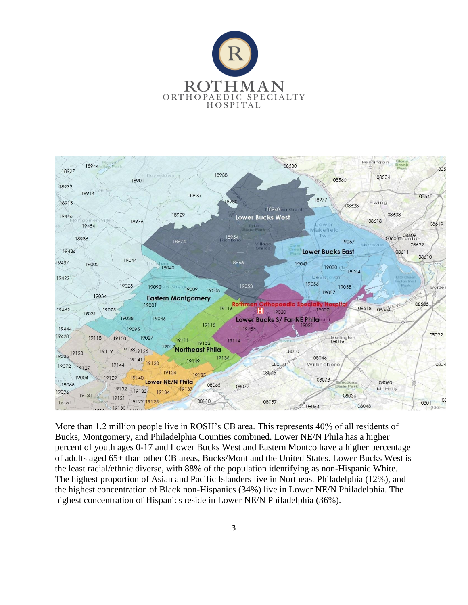



More than 1.2 million people live in ROSH's CB area. This represents 40% of all residents of Bucks, Montgomery, and Philadelphia Counties combined. Lower NE/N Phila has a higher percent of youth ages 0-17 and Lower Bucks West and Eastern Montco have a higher percentage of adults aged 65+ than other CB areas, Bucks/Mont and the United States. Lower Bucks West is the least racial/ethnic diverse, with 88% of the population identifying as non-Hispanic White. The highest proportion of Asian and Pacific Islanders live in Northeast Philadelphia (12%), and the highest concentration of Black non-Hispanics (34%) live in Lower NE/N Philadelphia. The highest concentration of Hispanics reside in Lower NE/N Philadelphia (36%).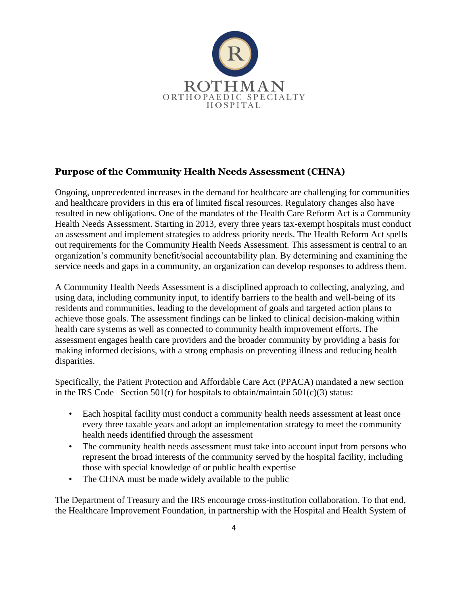

### **Purpose of the Community Health Needs Assessment (CHNA)**

Ongoing, unprecedented increases in the demand for healthcare are challenging for communities and healthcare providers in this era of limited fiscal resources. Regulatory changes also have resulted in new obligations. One of the mandates of the Health Care Reform Act is a Community Health Needs Assessment. Starting in 2013, every three years tax-exempt hospitals must conduct an assessment and implement strategies to address priority needs. The Health Reform Act spells out requirements for the Community Health Needs Assessment. This assessment is central to an organization's community benefit/social accountability plan. By determining and examining the service needs and gaps in a community, an organization can develop responses to address them.

A Community Health Needs Assessment is a disciplined approach to collecting, analyzing, and using data, including community input, to identify barriers to the health and well-being of its residents and communities, leading to the development of goals and targeted action plans to achieve those goals. The assessment findings can be linked to clinical decision-making within health care systems as well as connected to community health improvement efforts. The assessment engages health care providers and the broader community by providing a basis for making informed decisions, with a strong emphasis on preventing illness and reducing health disparities.

Specifically, the Patient Protection and Affordable Care Act (PPACA) mandated a new section in the IRS Code –Section 501(r) for hospitals to obtain/maintain 501(c)(3) status:

- Each hospital facility must conduct a community health needs assessment at least once every three taxable years and adopt an implementation strategy to meet the community health needs identified through the assessment
- The community health needs assessment must take into account input from persons who represent the broad interests of the community served by the hospital facility, including those with special knowledge of or public health expertise
- The CHNA must be made widely available to the public

The Department of Treasury and the IRS encourage cross-institution collaboration. To that end, the Healthcare Improvement Foundation, in partnership with the Hospital and Health System of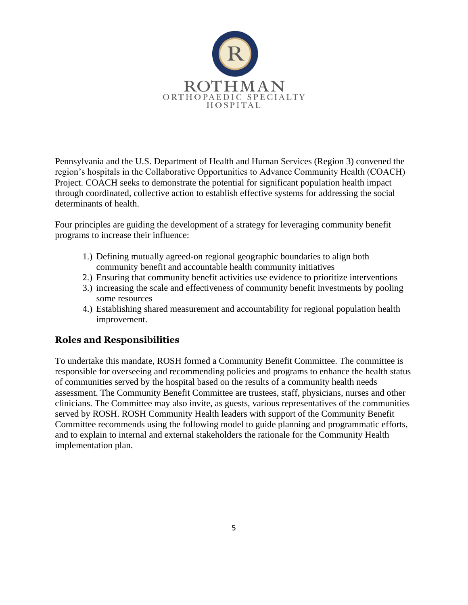

Pennsylvania and the U.S. Department of Health and Human Services (Region 3) convened the region's hospitals in the Collaborative Opportunities to Advance Community Health (COACH) Project. COACH seeks to demonstrate the potential for significant population health impact through coordinated, collective action to establish effective systems for addressing the social determinants of health.

Four principles are guiding the development of a strategy for leveraging community benefit programs to increase their influence:

- 1.) Defining mutually agreed-on regional geographic boundaries to align both community benefit and accountable health community initiatives
- 2.) Ensuring that community benefit activities use evidence to prioritize interventions
- 3.) increasing the scale and effectiveness of community benefit investments by pooling some resources
- 4.) Establishing shared measurement and accountability for regional population health improvement.

#### **Roles and Responsibilities**

To undertake this mandate, ROSH formed a Community Benefit Committee. The committee is responsible for overseeing and recommending policies and programs to enhance the health status of communities served by the hospital based on the results of a community health needs assessment. The Community Benefit Committee are trustees, staff, physicians, nurses and other clinicians. The Committee may also invite, as guests, various representatives of the communities served by ROSH. ROSH Community Health leaders with support of the Community Benefit Committee recommends using the following model to guide planning and programmatic efforts, and to explain to internal and external stakeholders the rationale for the Community Health implementation plan.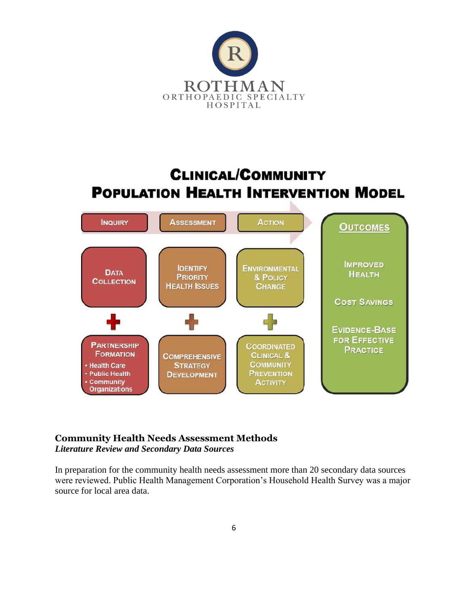

# **CLINICAL/COMMUNITY POPULATION HEALTH INTERVENTION MODEL**



# **Community Health Needs Assessment Methods**

*Literature Review and Secondary Data Sources* 

In preparation for the community health needs assessment more than 20 secondary data sources were reviewed. Public Health Management Corporation's Household Health Survey was a major source for local area data.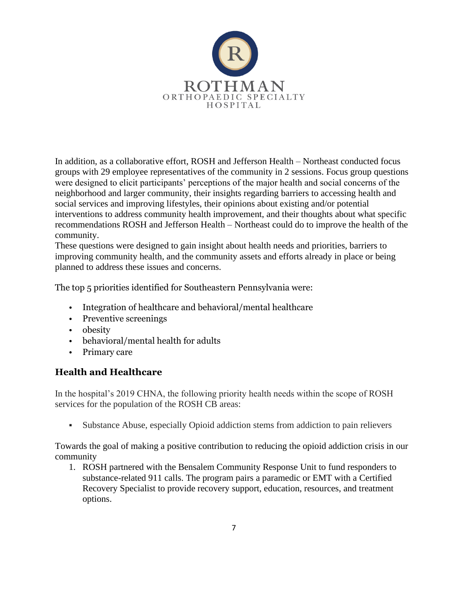

In addition, as a collaborative effort, ROSH and Jefferson Health – Northeast conducted focus groups with 29 employee representatives of the community in 2 sessions. Focus group questions were designed to elicit participants' perceptions of the major health and social concerns of the neighborhood and larger community, their insights regarding barriers to accessing health and social services and improving lifestyles, their opinions about existing and/or potential interventions to address community health improvement, and their thoughts about what specific recommendations ROSH and Jefferson Health – Northeast could do to improve the health of the community.

These questions were designed to gain insight about health needs and priorities, barriers to improving community health, and the community assets and efforts already in place or being planned to address these issues and concerns.

The top 5 priorities identified for Southeastern Pennsylvania were:

- Integration of healthcare and behavioral/mental healthcare
- Preventive screenings
- obesity
- behavioral/mental health for adults
- Primary care

#### **Health and Healthcare**

In the hospital's 2019 CHNA, the following priority health needs within the scope of ROSH services for the population of the ROSH CB areas:

▪ Substance Abuse, especially Opioid addiction stems from addiction to pain relievers

Towards the goal of making a positive contribution to reducing the opioid addiction crisis in our community

1. ROSH partnered with the Bensalem Community Response Unit to fund responders to substance-related 911 calls. The program pairs a paramedic or EMT with a Certified Recovery Specialist to provide recovery support, education, resources, and treatment options.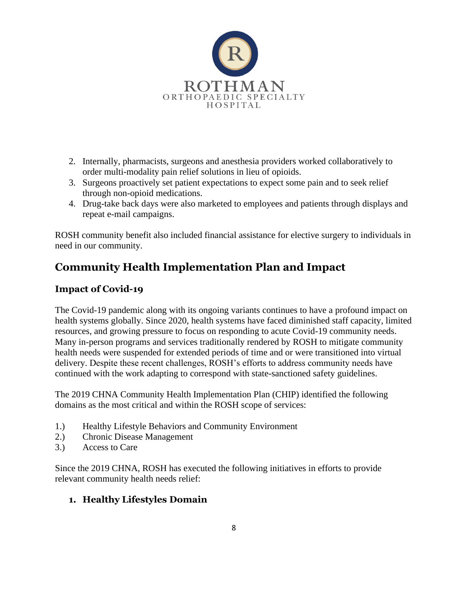

- 2. Internally, pharmacists, surgeons and anesthesia providers worked collaboratively to order multi-modality pain relief solutions in lieu of opioids.
- 3. Surgeons proactively set patient expectations to expect some pain and to seek relief through non-opioid medications.
- 4. Drug-take back days were also marketed to employees and patients through displays and repeat e-mail campaigns.

ROSH community benefit also included financial assistance for elective surgery to individuals in need in our community.

# **Community Health Implementation Plan and Impact**

### **Impact of Covid-19**

The Covid-19 pandemic along with its ongoing variants continues to have a profound impact on health systems globally. Since 2020, health systems have faced diminished staff capacity, limited resources, and growing pressure to focus on responding to acute Covid-19 community needs. Many in-person programs and services traditionally rendered by ROSH to mitigate community health needs were suspended for extended periods of time and or were transitioned into virtual delivery. Despite these recent challenges, ROSH's efforts to address community needs have continued with the work adapting to correspond with state-sanctioned safety guidelines.

The 2019 CHNA Community Health Implementation Plan (CHIP) identified the following domains as the most critical and within the ROSH scope of services:

- 1.) Healthy Lifestyle Behaviors and Community Environment
- 2.) Chronic Disease Management
- 3.) Access to Care

Since the 2019 CHNA, ROSH has executed the following initiatives in efforts to provide relevant community health needs relief:

### **1. Healthy Lifestyles Domain**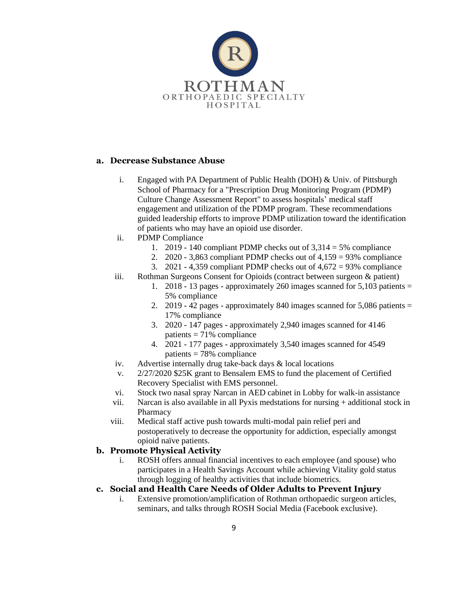

#### **a. Decrease Substance Abuse**

- i. Engaged with PA Department of Public Health (DOH) & Univ. of Pittsburgh School of Pharmacy for a "Prescription Drug Monitoring Program (PDMP) Culture Change Assessment Report" to assess hospitals' medical staff engagement and utilization of the PDMP program. These recommendations guided leadership efforts to improve PDMP utilization toward the identification of patients who may have an opioid use disorder.
- ii. PDMP Compliance
	- 1. 2019 140 compliant PDMP checks out of  $3,314 = 5\%$  compliance
	- 2. 2020 3,863 compliant PDMP checks out of  $4,159 = 93\%$  compliance
	- 3. 2021 4,359 compliant PDMP checks out of  $4,672 = 93\%$  compliance
- iii. Rothman Surgeons Consent for Opioids (contract between surgeon & patient)
	- 1. 2018 13 pages approximately 260 images scanned for  $5,103$  patients = 5% compliance
	- 2. 2019 42 pages approximately 840 images scanned for  $5,086$  patients  $=$ 17% compliance
	- 3. 2020 147 pages approximately 2,940 images scanned for 4146 patients  $= 71\%$  compliance
	- 4. 2021 177 pages approximately 3,540 images scanned for 4549 patients = 78% compliance
- iv. Advertise internally drug take-back days & local locations
- v. 2/27/2020 \$25K grant to Bensalem EMS to fund the placement of Certified Recovery Specialist with EMS personnel.
- vi. Stock two nasal spray Narcan in AED cabinet in Lobby for walk-in assistance
- vii. Narcan is also available in all Pyxis medstations for nursing + additional stock in Pharmacy
- viii. Medical staff active push towards multi-modal pain relief peri and postoperatively to decrease the opportunity for addiction, especially amongst opioid naïve patients.

#### **b. Promote Physical Activity**

i. ROSH offers annual financial incentives to each employee (and spouse) who participates in a Health Savings Account while achieving Vitality gold status through logging of healthy activities that include biometrics.

#### **c. Social and Health Care Needs of Older Adults to Prevent Injury**

i. Extensive promotion/amplification of Rothman orthopaedic surgeon articles, seminars, and talks through ROSH Social Media (Facebook exclusive).